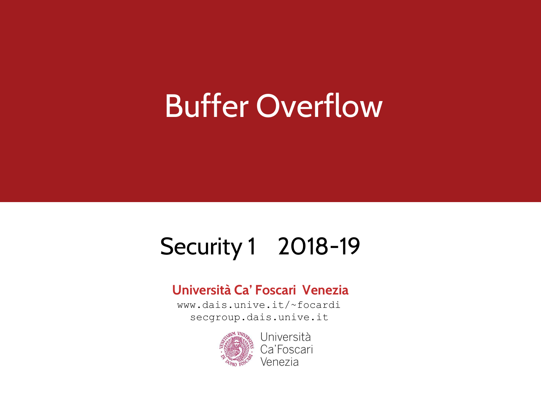#### Buffer Overflow

#### Security 1 2018-19

#### **Università Ca' Foscari Venezia**

www.dais.unive.it/~focardi secgroup.dais.unive.it



Università Ca'Foscari Venezia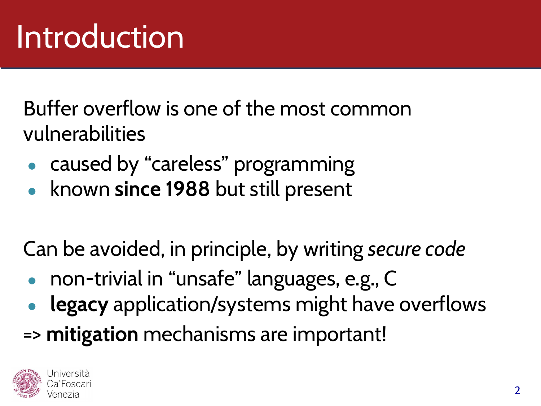Buffer overflow is one of the most common vulnerabilities

- caused by "careless" programming
- known **since 1988** but still present

Can be avoided, in principle, by writing *secure code*

- non-trivial in "unsafe" languages, e.g., C
- legacy application/systems might have overflows
- => **mitigation** mechanisms are important!

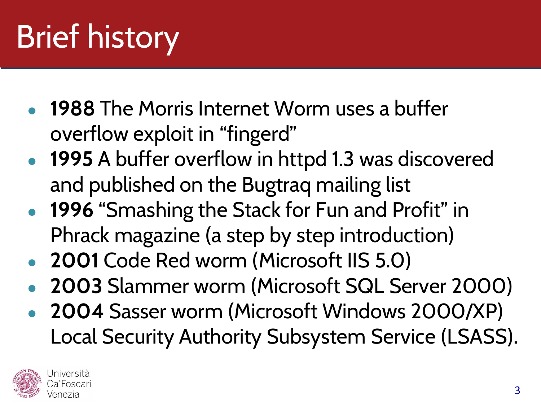# Brief history

- **1988** The Morris Internet Worm uses a buffer overflow exploit in "fingerd"
- **1995** A buffer overflow in httpd 1.3 was discovered and published on the Bugtraq mailing list
- **1996** "Smashing the Stack for Fun and Profit" in Phrack magazine (a step by step introduction)
- **2001** Code Red worm (Microsoft IIS 5.0)
- **2003** Slammer worm (Microsoft SQL Server 2000)
- **2004** Sasser worm (Microsoft Windows 2000/XP) Local Security Authority Subsystem Service (LSASS).

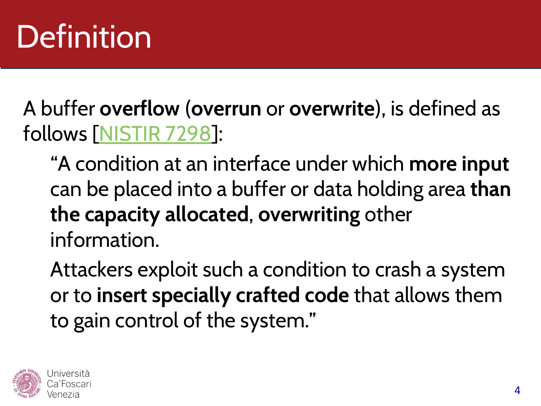#### Definition

A buffer **overflow** (**overrun** or **overwrite**), is defined as follows [[NISTIR 7298\]](https://csrc.nist.gov/publications/detail/nistir/7298/rev-2/final):

"A condition at an interface under which **more input** can be placed into a buffer or data holding area **than the capacity allocated**, **overwriting** other information.

Attackers exploit such a condition to crash a system or to **insert specially crafted code** that allows them to gain control of the system."

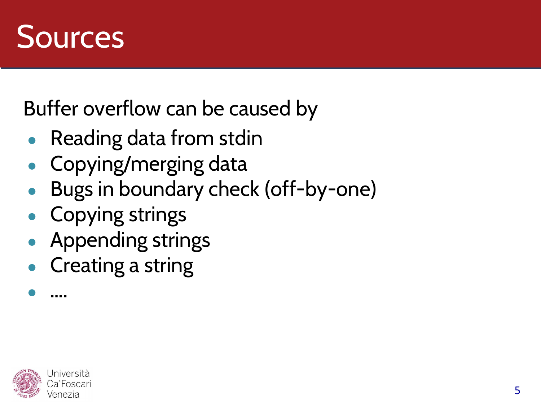

Buffer overflow can be caused by

- Reading data from stdin
- Copying/merging data
- Bugs in boundary check (off-by-one)
- Copying strings
- Appending strings
- Creating a string



● ….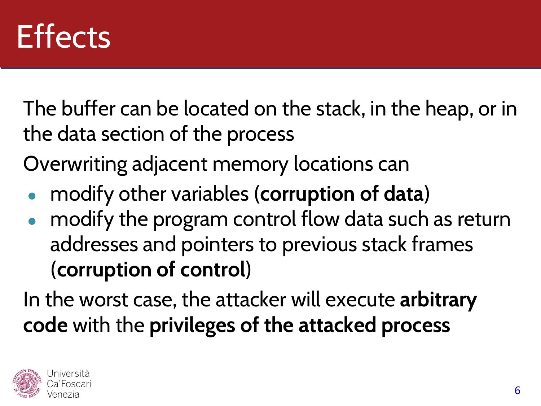#### **Effects**

The buffer can be located on the stack, in the heap, or in the data section of the process

Overwriting adjacent memory locations can

- modify other variables (**corruption of data**)
- modify the program control flow data such as return addresses and pointers to previous stack frames (**corruption of control**)

In the worst case, the attacker will execute **arbitrary code** with the **privileges of the attacked process**

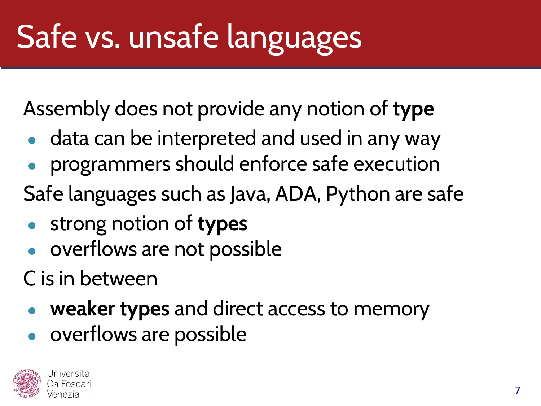# Safe vs. unsafe languages

Assembly does not provide any notion of **type**

- data can be interpreted and used in any way
- programmers should enforce safe execution
- Safe languages such as Java, ADA, Python are safe
- strong notion of **types**
- overflows are not possible
- C is in between
	- **weaker types** and direct access to memory
	- overflows are possible

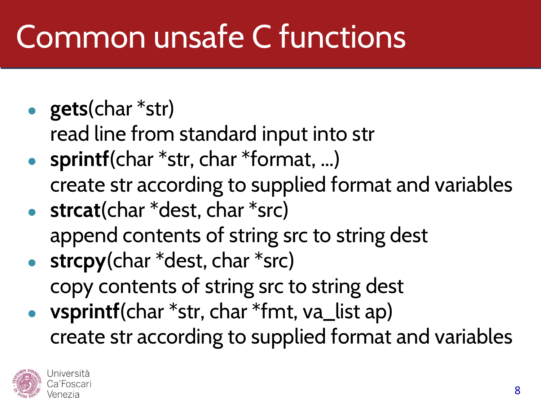### Common unsafe C functions

- **gets**(char \*str)
	- read line from standard input into str
- **sprintf**(char \*str, char \*format, ...) create str according to supplied format and variables
- **strcat**(char \*dest, char \*src) append contents of string src to string dest
- **strcpy**(char \*dest, char \*src) copy contents of string src to string dest
- vsprintf(char \*str, char \*fmt, va\_list ap) create str according to supplied format and variables

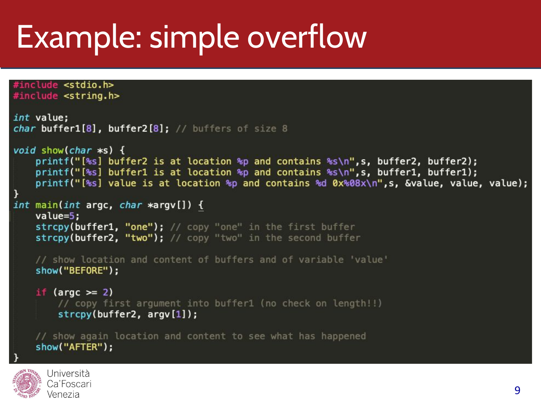```
#include <string.h>
int value;
char buffer1[8], buffer2[8]; // buffers of size 8
void show(char \asts) {
    printf("[%s] buffer2 is at location %p and contains %s\n",s, buffer2, buffer2);
    printf("[%s] buffer1 is at location %p and contains %s\n",s, buffer1, buffer1);
    printf("[%s] value is at location %p and contains %d 0x%08x\n",s, &value, value, value);
int main(int argc, char *argv[]) {
    value=5;
    strcpy(buffer1, "one"); // copy "one" in the first buffer
    strcpy(buffer2, "two"); // copy "two" in the second buffer
    // show location and content of buffers and of variable 'value'
    show("BEFORE");
    if (argc >= 2)
        // copy first argument into buffer1 (no check on length!!)
        strcpy(buffer2, argv[1]);// show again location and content to see what has happened
    show("AFTER");
```


#include <stdio.h>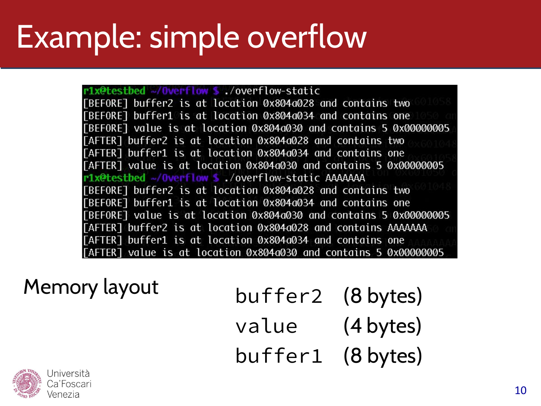r1x@testbed ~/0verflow \$./overflow-static [BEFORE] buffer2 is at location 0x804a028 and contains two [BEFORE] buffer1 is at location 0x804a034 and contains one [BEFORE] value is at location 0x804a030 and contains 5 0x00000005 [AFTER] buffer2 is at location 0x804a028 and contains two [AFTER] buffer1 is at location 0x804a034 and contains one [AFTER] value is at location 0x804a030 and contains 5 0x00000005 r1x@testbed ~/0verflow \$./overflow-static AAAAAAA [BEFORE] buffer2 is at location 0x804a028 and contains two [BEFORE] buffer1 is at location 0x804a034 and contains one [BEFORE] value is at location 0x804a030 and contains 5 0x00000005 [AFTER] buffer2 is at location 0x804a028 and contains AAAAAAA [AFTER] buffer1 is at location 0x804a034 and contains one [AFTER] value is at location 0x804a030 and contains 5 0x00000005

Memory layout buffer2 (8 bytes) value (4 bytes) buffer1 (8 bytes)

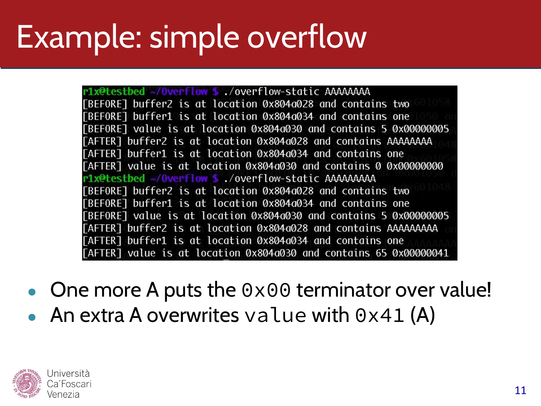r1x@testbed ~/0verflow \$./overflow-static AAAAAAAA [BEFORE] buffer2 is at location 0x804a028 and contains two [BEFORE] buffer1 is at location 0x804a034 and contains one [BEFORE] value is at location 0x804a030 and contains 5 0x00000005 [AFTER] buffer2 is at location 0x804a028 and contains AAAAAAAA [AFTER] buffer1 is at location 0x804a034 and contains one [AFTER] value is at location 0x804a030 and contains 0 0x00000000 r1x@testbed ~/0verflow \$ ./overflow-static AAAAAAAAA [BEFORE] buffer2 is at location 0x804a028 and contains two [BEFORE] buffer1 is at location 0x804a034 and contains one FBEFORET value is at location 0x804a030 and contains 5 0x00000005 [AFTER] buffer2 is at location 0x804a028 and contains AAAAAAAAA [AFTER] buffer1 is at location 0x804a034 and contains one [AFTER] value is at location 0x804a030 and contains 65 0x00000041

- One more A puts the  $0 \times 00$  terminator over value!
- An extra A overwrites value with  $0 \times 41$  (A)

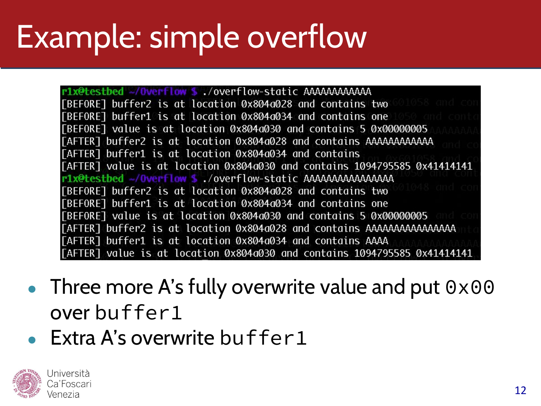[BEFORE] buffer2 is at location 0x804a028 and contains two [BEFORE] buffer1 is at location 0x804a034 and contains one [BEFORE] value is at location 0x804a030 and contains 5 0x00000005 [AFTER] buffer2 is at location 0x804a028 and contains AAAAAAAAAAAA [AFTER] buffer1 is at location 0x804a034 and contains [AFTER] value is at location 0x804a030 and contains 1094795585 0x41414141 [BEFORE] buffer2 is at location 0x804a028 and contains two [BEFORE] buffer1 is at location 0x804a034 and contains one [BEFORE] value is at location 0x804a030 and contains 5 0x00000005 [AFTER] buffer1 is at location 0x804a034 and contains AAAA [AFTER] value is at location 0x804a030 and contains 1094795585 0x41414141

- Three more A's fully overwrite value and put  $0 \times 00$ over buffer1
- Extra A's overwrite buffer  $1$



a'Foscari 'enezia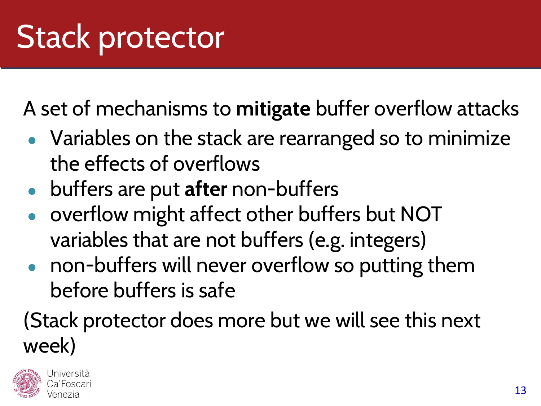A set of mechanisms to **mitigate** buffer overflow attacks

- Variables on the stack are rearranged so to minimize the effects of overflows
- buffers are put **after** non-buffers
- overflow might affect other buffers but NOT variables that are not buffers (e.g. integers)
- non-buffers will never overflow so putting them before buffers is safe

#### (Stack protector does more but we will see this next week)

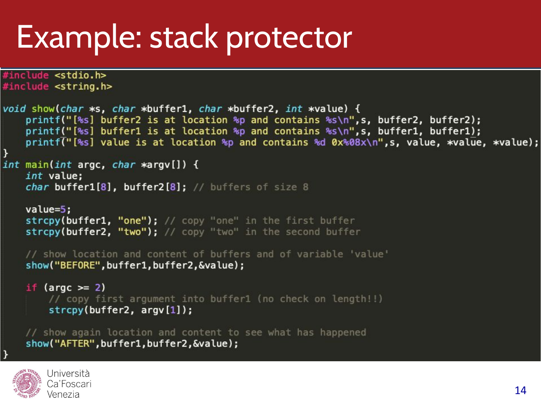#### Example: stack protector

```
#include <stdio.h>
#include <string.h>
void show(char *s, char *buffer1, char *buffer2, int *value) {
    printf("[%s] buffer2 is at location %p and contains %s\n",s, buffer2, buffer2);
    printf("[%s] buffer1 is at location %p and contains %s\n", s, buffer1, buffer1);
    printf("[%s] value is at location %p and contains %d 0x%08x\n",s, value, *value, *value);
int main(int argc, char *argv[]) {
    int value;
    char buffer1[8], buffer2[8]; // buffers of size 8
    value=5;
    strcpy(buffer1, "one"); // copy "one" in the first buffer
    strcpy(buffer2, "two"); // copy "two" in the second buffer
    // show location and content of buffers and of variable 'value'
    show("BEFORE", buffer1, buffer2, &value);
    if (argc >= 2)
        // copy first argument into buffer1 (no check on length!!)
        strong(buffer2, argv[1]);// show again location and content to see what has happened
    show("AFTER", buffer1, buffer2, &value);
```
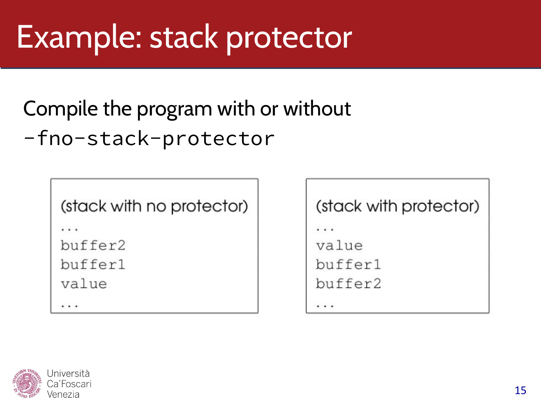#### Example: stack protector

#### Compile the program with or without -fno-stack-protector

(stack with no protector)

. . .

buffer2

buffer1

value

. . .

#### (stack with protector)

. . .

value

buffer1

buffer2

. . .

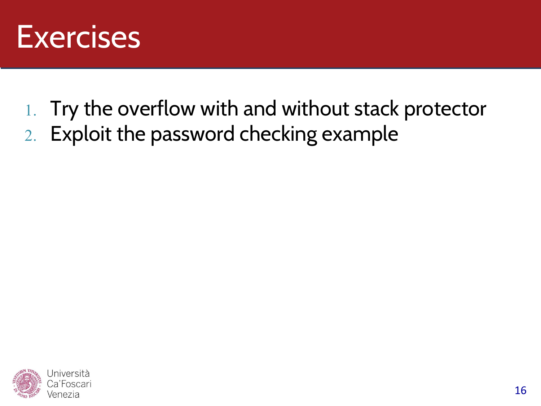

- 1. Try the overflow with and without stack protector
- 2. Exploit the password checking example

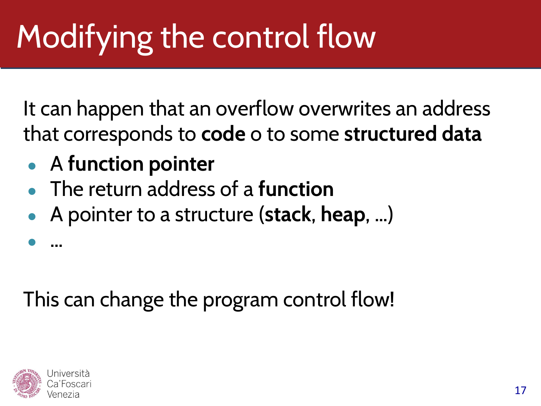# Modifying the control flow

It can happen that an overflow overwrites an address that corresponds to **code** o to some **structured data**

- A **function pointer**
- The return address of a **function**
- A pointer to a structure (**stack**, **heap**, …)

This can change the program control flow!



● …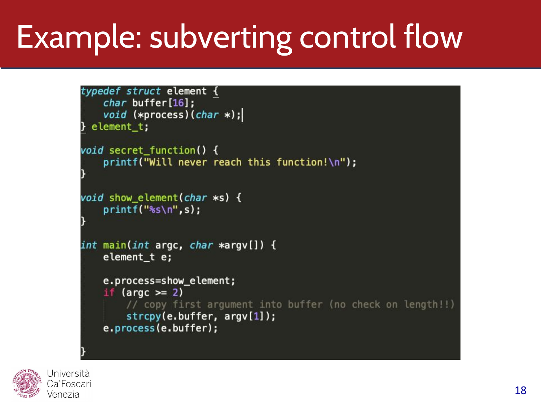## Example: subverting control flow

```
typedef struct element {
    char buffer[16];
    void (*process)(char *);
} element_t;
void secret_function() {
    printf("Will never reach this function!\n");
void show element(char *s) {
    print(f("s\sin", s);int main(int argc, char *argv[]) {
    element t e;
    e.process=show_element;
    if (\text{argc} \geq 2)// copy first argument into buffer (no check on length!!)
        strcpy(e.buffer, argv[1]);
    e.process(e.buffer);
```